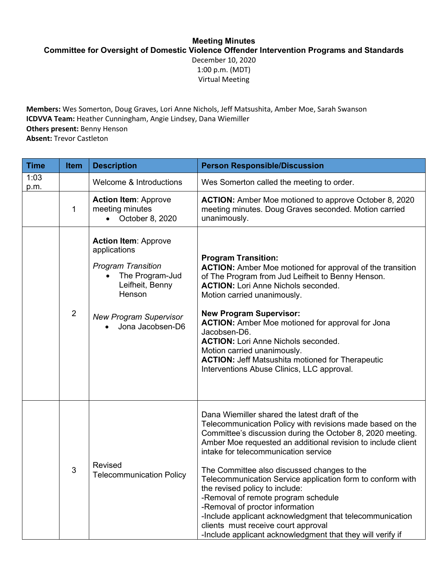## **Meeting Minutes**

**Committee for Oversight of Domestic Violence Offender Intervention Programs and Standards** 

December 10, 2020 1:00 p.m. (MDT) Virtual Meeting

**Members:** Wes Somerton, Doug Graves, Lori Anne Nichols, Jeff Matsushita, Amber Moe, Sarah Swanson **ICDVVA Team:** Heather Cunningham, Angie Lindsey, Dana Wiemiller **Others present: Benny Henson Absent:** Trevor Castleton

| <b>Time</b>  | Item           | <b>Description</b>                                                                                                                                                            | <b>Person Responsible/Discussion</b>                                                                                                                                                                                                                                                                                                                                                                                                                                                                                                                                                                                                                                       |
|--------------|----------------|-------------------------------------------------------------------------------------------------------------------------------------------------------------------------------|----------------------------------------------------------------------------------------------------------------------------------------------------------------------------------------------------------------------------------------------------------------------------------------------------------------------------------------------------------------------------------------------------------------------------------------------------------------------------------------------------------------------------------------------------------------------------------------------------------------------------------------------------------------------------|
| 1:03<br>p.m. |                | Welcome & Introductions                                                                                                                                                       | Wes Somerton called the meeting to order.                                                                                                                                                                                                                                                                                                                                                                                                                                                                                                                                                                                                                                  |
|              | $\mathbf 1$    | <b>Action Item: Approve</b><br>meeting minutes<br>October 8, 2020                                                                                                             | <b>ACTION:</b> Amber Moe motioned to approve October 8, 2020<br>meeting minutes. Doug Graves seconded. Motion carried<br>unanimously.                                                                                                                                                                                                                                                                                                                                                                                                                                                                                                                                      |
|              | $\overline{2}$ | <b>Action Item: Approve</b><br>applications<br><b>Program Transition</b><br>The Program-Jud<br>Leifheit, Benny<br>Henson<br><b>New Program Supervisor</b><br>Jona Jacobsen-D6 | <b>Program Transition:</b><br><b>ACTION:</b> Amber Moe motioned for approval of the transition<br>of The Program from Jud Leifheit to Benny Henson.<br><b>ACTION: Lori Anne Nichols seconded.</b><br>Motion carried unanimously.<br><b>New Program Supervisor:</b><br><b>ACTION:</b> Amber Moe motioned for approval for Jona<br>Jacobsen-D6.<br><b>ACTION: Lori Anne Nichols seconded.</b><br>Motion carried unanimously.<br><b>ACTION: Jeff Matsushita motioned for Therapeutic</b><br>Interventions Abuse Clinics, LLC approval.                                                                                                                                        |
|              | 3              | Revised<br><b>Telecommunication Policy</b>                                                                                                                                    | Dana Wiemiller shared the latest draft of the<br>Telecommunication Policy with revisions made based on the<br>Committee's discussion during the October 8, 2020 meeting.<br>Amber Moe requested an additional revision to include client<br>intake for telecommunication service<br>The Committee also discussed changes to the<br>Telecommunication Service application form to conform with<br>the revised policy to include:<br>-Removal of remote program schedule<br>-Removal of proctor information<br>-Include applicant acknowledgment that telecommunication<br>clients must receive court approval<br>-Include applicant acknowledgment that they will verify if |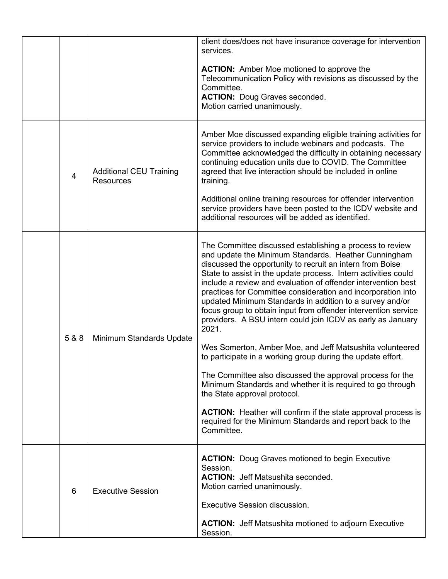|                |                                                    | client does/does not have insurance coverage for intervention<br>services.<br><b>ACTION:</b> Amber Moe motioned to approve the<br>Telecommunication Policy with revisions as discussed by the<br>Committee.<br><b>ACTION: Doug Graves seconded.</b><br>Motion carried unanimously.                                                                                                                                                                                                                                                                                                                                                                                                                                                                                                                                                                                                                                                                                                                                              |
|----------------|----------------------------------------------------|---------------------------------------------------------------------------------------------------------------------------------------------------------------------------------------------------------------------------------------------------------------------------------------------------------------------------------------------------------------------------------------------------------------------------------------------------------------------------------------------------------------------------------------------------------------------------------------------------------------------------------------------------------------------------------------------------------------------------------------------------------------------------------------------------------------------------------------------------------------------------------------------------------------------------------------------------------------------------------------------------------------------------------|
| $\overline{4}$ | <b>Additional CEU Training</b><br><b>Resources</b> | Amber Moe discussed expanding eligible training activities for<br>service providers to include webinars and podcasts. The<br>Committee acknowledged the difficulty in obtaining necessary<br>continuing education units due to COVID. The Committee<br>agreed that live interaction should be included in online<br>training.<br>Additional online training resources for offender intervention<br>service providers have been posted to the ICDV website and<br>additional resources will be added as identified.                                                                                                                                                                                                                                                                                                                                                                                                                                                                                                              |
| 5 & 8          | Minimum Standards Update                           | The Committee discussed establishing a process to review<br>and update the Minimum Standards. Heather Cunningham<br>discussed the opportunity to recruit an intern from Boise<br>State to assist in the update process. Intern activities could<br>include a review and evaluation of offender intervention best<br>practices for Committee consideration and incorporation into<br>updated Minimum Standards in addition to a survey and/or<br>focus group to obtain input from offender intervention service<br>providers. A BSU intern could join ICDV as early as January<br>2021.<br>Wes Somerton, Amber Moe, and Jeff Matsushita volunteered<br>to participate in a working group during the update effort.<br>The Committee also discussed the approval process for the<br>Minimum Standards and whether it is required to go through<br>the State approval protocol.<br><b>ACTION:</b> Heather will confirm if the state approval process is<br>required for the Minimum Standards and report back to the<br>Committee. |
| 6              | <b>Executive Session</b>                           | <b>ACTION:</b> Doug Graves motioned to begin Executive<br>Session.<br><b>ACTION: Jeff Matsushita seconded.</b><br>Motion carried unanimously.<br><b>Executive Session discussion.</b><br><b>ACTION:</b> Jeff Matsushita motioned to adjourn Executive<br>Session.                                                                                                                                                                                                                                                                                                                                                                                                                                                                                                                                                                                                                                                                                                                                                               |